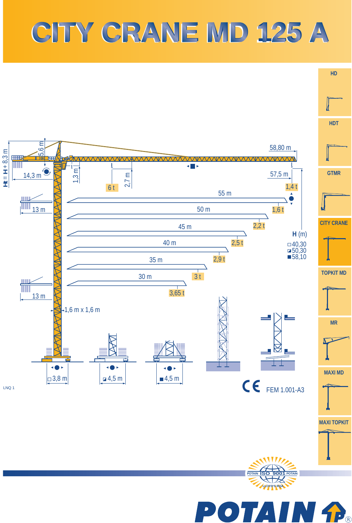## **CITY CRANE MD 125 A CITY CRANE MD 125 A**

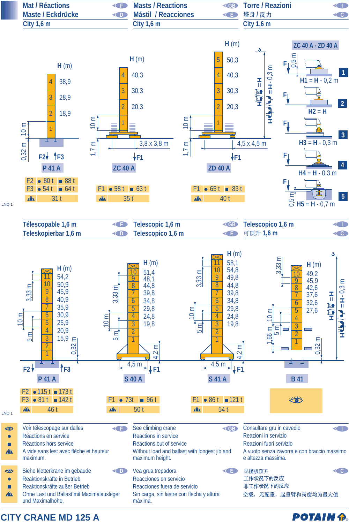

**CITY CRANE MD 125 A**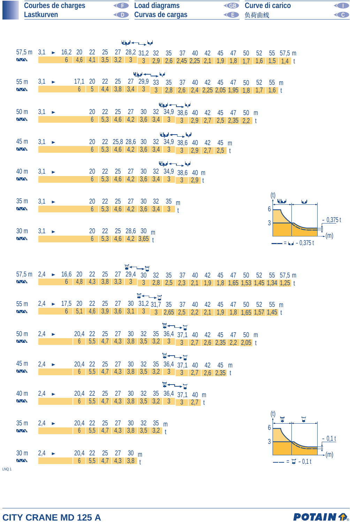| <b>Courbes de charges</b> | <b>Example 2</b> Load diagrams | <b>ED</b> Curve di carico | <b>KID</b> |
|---------------------------|--------------------------------|---------------------------|------------|
| Lastkurven                | <b>Curvas de cargas</b>        | ◆ 负荷曲线                    |            |

|                                                                                          |                   |  |                                  |                |  |                       | الملجعا حسب لحيا                           |                                                  |                                                                                                                                                                           |  |  |  |                |                                                                                          |     |             |  |
|------------------------------------------------------------------------------------------|-------------------|--|----------------------------------|----------------|--|-----------------------|--------------------------------------------|--------------------------------------------------|---------------------------------------------------------------------------------------------------------------------------------------------------------------------------|--|--|--|----------------|------------------------------------------------------------------------------------------|-----|-------------|--|
| 57,5 m 3,1 ► 16,2 20 22 25 27 28,2 31,2 32 35 37 40 42 45 47<br>$\sqrt{N}$               |                   |  |                                  |                |  |                       |                                            |                                                  |                                                                                                                                                                           |  |  |  |                | 50 52 55 57,5 m<br>6 4,6 4,1 3,5 3,2 3 3 2,9 2,6 2,45 2,25 2,1 1,9 1,8 1,7 1,6 1,5 1,4 t |     |             |  |
|                                                                                          |                   |  |                                  |                |  |                       | الملحة حسيدها                              |                                                  |                                                                                                                                                                           |  |  |  |                |                                                                                          |     |             |  |
| 55 <sub>m</sub><br>$\sqrt{N}$                                                            | $3.1 \rightarrow$ |  | 17,1 20 22 25 27 29,9 33 35<br>6 |                |  |                       |                                            |                                                  | 37 40 42 45 47 50 52 55 m<br>5 4,4 3,8 3,4 3 3 2,8 2,6 2,4 2,25 2,05 1,95 1,8 1,7 1,6 t                                                                                   |  |  |  |                |                                                                                          |     |             |  |
| 50 <sub>m</sub>                                                                          | $3,1 \rightarrow$ |  |                                  |                |  |                       |                                            |                                                  | الملحة حسب لحيط<br>20  22  25  27  30  32  34,9  38,6  40  42  45  47  50  m                                                                                              |  |  |  |                |                                                                                          |     |             |  |
| $\sqrt{N}$                                                                               |                   |  |                                  | 6 <sup>1</sup> |  |                       |                                            |                                                  | 5,3 4,6 4,2 3,6 3,4 3 3 2,9 2,7 2,5 2,35 2,2 t                                                                                                                            |  |  |  |                |                                                                                          |     |             |  |
|                                                                                          |                   |  |                                  |                |  |                       |                                            |                                                  | الملحة وسيداديه                                                                                                                                                           |  |  |  |                |                                                                                          |     |             |  |
| 45 m<br>$\sqrt{N}$                                                                       | $3,1 \rightarrow$ |  |                                  |                |  |                       |                                            |                                                  | 20 22 25,8 28,6 30 32 34,9 38,6 40 42 45 m                                                                                                                                |  |  |  |                |                                                                                          |     |             |  |
|                                                                                          |                   |  |                                  |                |  |                       |                                            |                                                  | الملحا حسب لحيا                                                                                                                                                           |  |  |  |                |                                                                                          |     |             |  |
| 40 m<br><b>AA</b>                                                                        | $3,1 \rightarrow$ |  |                                  | $6-1$          |  |                       |                                            |                                                  | 20 22 25 27 30 32 34,9 38,6 40 m<br>$5,3$ 4,6 4,2 3,6 3,4 3 3 2,9 t                                                                                                       |  |  |  |                |                                                                                          |     |             |  |
|                                                                                          |                   |  |                                  |                |  |                       |                                            |                                                  |                                                                                                                                                                           |  |  |  | (t)            |                                                                                          |     |             |  |
| 35 <sub>m</sub><br>$\sqrt{N}$                                                            | $3,1 \rightarrow$ |  |                                  | 20<br>$6-1$    |  |                       |                                            | 22 25 27 30 32 35 m<br>$5,3$ 4,6 4,2 3,6 3,4 3 t |                                                                                                                                                                           |  |  |  | 6              | معالجا                                                                                   | اما |             |  |
|                                                                                          |                   |  |                                  |                |  |                       |                                            |                                                  |                                                                                                                                                                           |  |  |  | $\mathfrak{z}$ |                                                                                          |     | $-0,375$ t  |  |
| 30 <sub>m</sub><br>$\sqrt{N}$                                                            | $3,1 \rightarrow$ |  |                                  | $6-1$          |  |                       | 20 22 25 28,6 30 m<br>$5,3$ 4,6 4,2 3,65 t |                                                  |                                                                                                                                                                           |  |  |  |                |                                                                                          |     | $\star$ (m) |  |
|                                                                                          |                   |  |                                  |                |  |                       |                                            |                                                  |                                                                                                                                                                           |  |  |  |                | $- = 1 - 0.375t$                                                                         |     |             |  |
|                                                                                          |                   |  |                                  |                |  |                       | V-L-L                                      |                                                  |                                                                                                                                                                           |  |  |  |                |                                                                                          |     |             |  |
| 57,5 m 2,4 ► 16,6 20 22 25 27 29,4 30 32 35 37 40 42 45 47 50 52 55 57,5 m<br><b>AVA</b> |                   |  |                                  |                |  |                       |                                            |                                                  |                                                                                                                                                                           |  |  |  |                | 6 4,8 4,3 3,8 3,3 3 3 2,8 2,5 2,3 2,1 1,9 1,8 1,65 1,53 1,45 1,34 1,25 t                 |     |             |  |
|                                                                                          |                   |  |                                  |                |  |                       | W←←                                        |                                                  |                                                                                                                                                                           |  |  |  |                |                                                                                          |     |             |  |
| 55 <sub>m</sub><br>$\sqrt{N}$                                                            |                   |  |                                  |                |  |                       |                                            |                                                  | 2,4 ► 17,5 20 22 25 27 30 31,2 31,7 35 37 40 42 45 47 50 52 55 m<br>6   5,1   4,6   3,9   3,6   3,1   3   3   2,65   2,5   2,2   2,1   1,9   1,8   1,65   1,57   1,45   1 |  |  |  |                |                                                                                          |     |             |  |
|                                                                                          |                   |  |                                  |                |  |                       |                                            |                                                  | V-LI                                                                                                                                                                      |  |  |  |                |                                                                                          |     |             |  |
| 50 <sub>m</sub><br>$\sqrt{N}$                                                            | $2,4 \rightarrow$ |  |                                  |                |  |                       |                                            |                                                  | 20,4 22 25 27 30 32 35 36,4 37,1 40 42 45 47 50 m                                                                                                                         |  |  |  |                |                                                                                          |     |             |  |
|                                                                                          |                   |  |                                  |                |  |                       |                                            |                                                  |                                                                                                                                                                           |  |  |  |                |                                                                                          |     |             |  |
| 45 m                                                                                     | $2,4 \rightarrow$ |  |                                  |                |  |                       |                                            |                                                  | <b>W←→⊔</b><br>20,4 22 25 27 30 32 35 36,4 37,1 40 42 45 m                                                                                                                |  |  |  |                |                                                                                          |     |             |  |
| $\Delta \Lambda$                                                                         |                   |  |                                  |                |  |                       |                                            |                                                  |                                                                                                                                                                           |  |  |  |                |                                                                                          |     |             |  |
| 40 m                                                                                     | $2,4 \rightarrow$ |  |                                  |                |  |                       |                                            |                                                  | $\P \leftarrow \rightarrow \blacksquare$<br>20,4 22 25 27 30 32 35 36,4 37,1 40 m                                                                                         |  |  |  |                |                                                                                          |     |             |  |
| <b>ZVV</b>                                                                               |                   |  |                                  |                |  |                       |                                            |                                                  | $6$ $5,5$ $4,7$ $4,3$ $3,8$ $3,5$ $3,2$ $3$ $3$ $3,2$ $1$                                                                                                                 |  |  |  |                |                                                                                          |     |             |  |
| 35 <sub>m</sub>                                                                          | $2,4 \rightarrow$ |  | 20,4 22 25 27 30 32 35 m         |                |  |                       |                                            |                                                  |                                                                                                                                                                           |  |  |  |                | $\overline{\mathbf{M}}$                                                                  | Н   |             |  |
| $\sqrt{N}$                                                                               |                   |  |                                  |                |  |                       | $6$ $5,5$ $4,7$ $4,3$ $3,8$ $3,5$ $3,2$ t  |                                                  |                                                                                                                                                                           |  |  |  | 6              |                                                                                          |     | $-0,1$ t    |  |
| 30 <sub>m</sub>                                                                          | $2,4 \rightarrow$ |  | 20,4 22 25 27 30 m               |                |  |                       |                                            |                                                  |                                                                                                                                                                           |  |  |  | 3              |                                                                                          |     | -(m)        |  |
| <b>ZVV</b>                                                                               |                   |  |                                  |                |  | $6$ 5,5 4,7 4,3 3,8 t |                                            |                                                  |                                                                                                                                                                           |  |  |  |                | $- = \blacksquare - 0.1 t$                                                               |     |             |  |
|                                                                                          |                   |  |                                  |                |  |                       |                                            |                                                  |                                                                                                                                                                           |  |  |  |                |                                                                                          |     |             |  |

LNQ 1

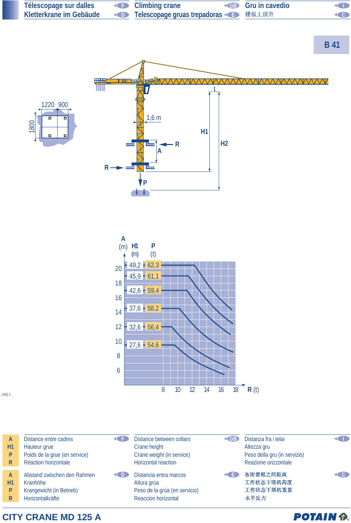

**CITY CRANE MD 125 A**

**POTAIN P.**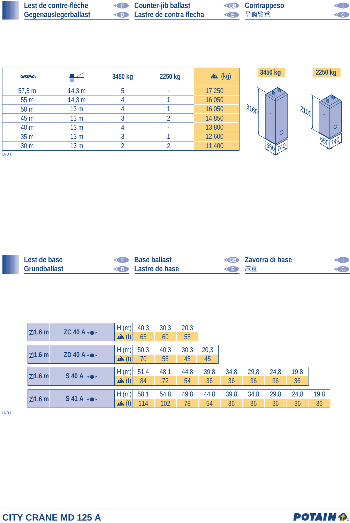| Lest de contre-flèche       | <b>Counter-jib ballast</b>                | <b>EB</b> Contrappeso | <b>KID</b>         |
|-----------------------------|-------------------------------------------|-----------------------|--------------------|
| <b>Gegenauslegerballast</b> | <b>Example 20 Lastre de contra flecha</b> | ◆ 千衡臂重                | $\left( 0 \right)$ |

| <b>MW</b>              | ■ <del>∡</del>  | 3450 kg      | 2250 kg | $x^2$ (kg) | 3450 kg          | 2250 kg  |
|------------------------|-----------------|--------------|---------|------------|------------------|----------|
| 57,5 m                 | 14,3 m          | 5            |         | 17 250     |                  |          |
| 55 <sub>m</sub>        | 14,3 m          |              |         | 16 050     |                  |          |
| 50 <sub>m</sub>        | 13 <sub>m</sub> | 4            |         | 16 050     | 3160<br>$\sigma$ | 31001    |
| 45 m                   | 13 <sub>m</sub> | $\mathbf{c}$ |         | 14 850     |                  | $\Omega$ |
| 40 m                   | 13 <sub>m</sub> | 4            | $\sim$  | 13 800     |                  | O        |
| 35 m                   | 13 <sub>m</sub> | 2            |         | 12 600     |                  |          |
| 30 m                   | 13 <sub>m</sub> |              |         | 11 400     |                  |          |
| $1.510 \times 10^{-1}$ |                 |              |         |            |                  |          |

LNQ 1

| Lest de base        | <b>Base ballast</b><br><b>KIND</b> |      | <b>EXAMPLE 7 AVOLTA di base</b> |  |
|---------------------|------------------------------------|------|---------------------------------|--|
| <b>Grundballast</b> | <b>Example 2</b> Lastre de base    | ◆ 下車 |                                 |  |

| $\boxdot$ 1,6 m | $ZC$ 40 A $\cdot \bullet \cdot$ | H(m)               | 40,3 | 30,3 | 20,3 |      |      |      |      |      |      |
|-----------------|---------------------------------|--------------------|------|------|------|------|------|------|------|------|------|
|                 | $\mathbf{A}$ (t)                | 65                 | 60   | 55   |      |      |      |      |      |      |      |
|                 |                                 | H(m)               | 50,3 | 40,3 | 30,3 | 20,3 |      |      |      |      |      |
| $\boxdot$ 1,6 m | ZD 40 A $\cdot \bullet \cdot$   | $\mathbf{A}$ $(t)$ | 70   | 55   | 45   | 45   |      |      |      |      |      |
|                 |                                 | H(m)               | 51,4 | 48,1 | 44,8 | 39,8 | 34,8 | 29,8 | 24,8 | 19,8 |      |
| $\boxdot$ 1,6 m | $S$ 40 A $\rightarrow$          | $\mathbf{A}$ (t)   | 84   | 72   | 54   | 36   | 36   | 36   | 36   | 36   |      |
| $\boxdot$ 1,6 m |                                 | H(m)               | 58,1 | 54,8 | 49,8 | 44,8 | 39,8 | 34,8 | 29,8 | 24,8 | 19,8 |
|                 | $S$ 41A $\rightarrow$           | $\mathbf{A}$ (t)   | 114  | 102  | 78   | 54   | 36   | 36   | 36   | 36   | 36   |

LNQ 1